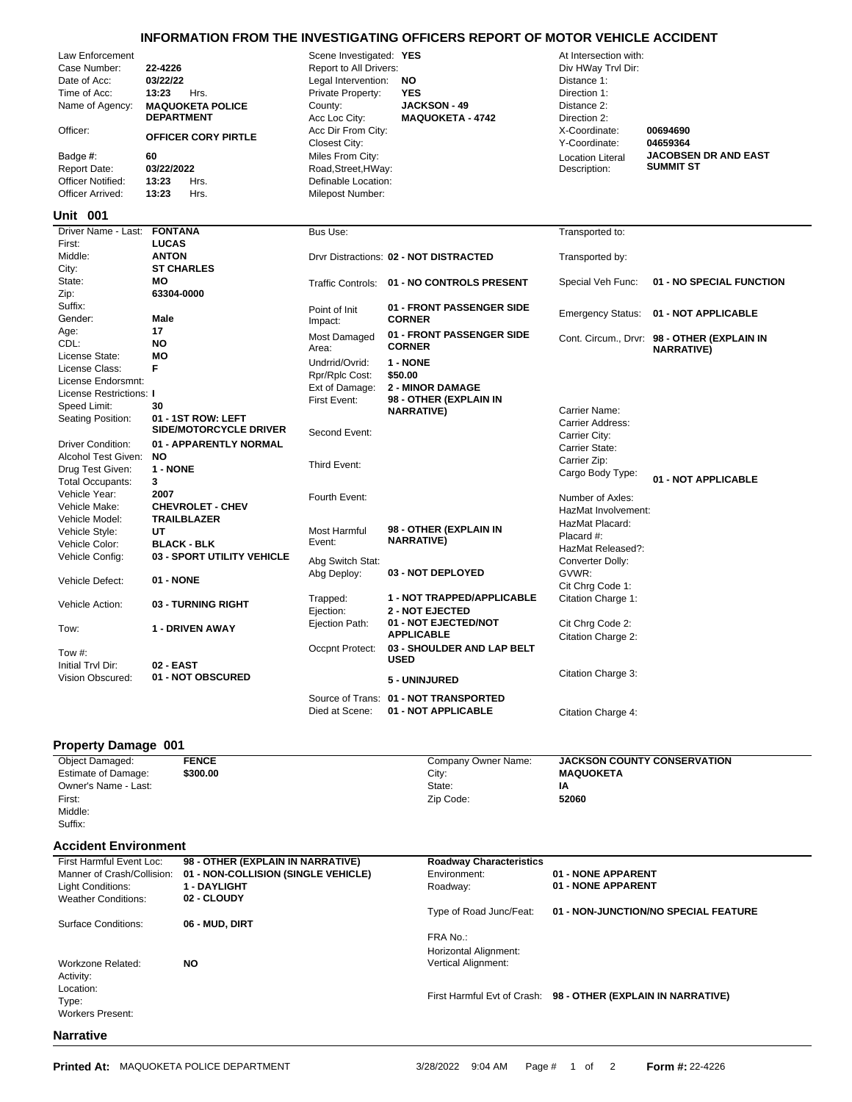## **INFORMATION FROM THE INVESTIGATING OFFICERS REPORT OF MOTOR VEHICLE ACCIDENT**

| Law Enforcement<br>Case Number:<br>Date of Acc:<br>Time of Acc:<br>Name of Agency:<br>Officer:<br>Badge #:<br><b>Report Date:</b><br>Officer Notified:<br>Officer Arrived:<br>Unit 001 | 22-4226<br>03/22/22<br>13:23<br>Hrs.<br><b>MAQUOKETA POLICE</b><br><b>DEPARTMENT</b><br>OFFICER CORY PIRTLE<br>60<br>03/22/2022<br>13:23<br>Hrs.<br>13:23<br>Hrs. | Scene Investigated: YES<br>Report to All Drivers:<br>Legal Intervention:<br>Private Property:<br>County:<br>Acc Loc City:<br>Acc Dir From City:<br><b>Closest City:</b><br>Miles From City:<br>Road, Street, HWay:<br>Definable Location:<br>Milepost Number: | <b>NO</b><br><b>YES</b><br><b>JACKSON - 49</b><br><b>MAQUOKETA - 4742</b> | At Intersection with:<br>Div HWay Trvl Dir:<br>Distance 1:<br>Direction 1:<br>Distance 2:<br>Direction 2:<br>X-Coordinate:<br>Y-Coordinate:<br><b>Location Literal</b><br>Description: | 00694690<br>04659364<br><b>JACOBSEN DR AND EAST</b><br><b>SUMMIT ST</b> |
|----------------------------------------------------------------------------------------------------------------------------------------------------------------------------------------|-------------------------------------------------------------------------------------------------------------------------------------------------------------------|---------------------------------------------------------------------------------------------------------------------------------------------------------------------------------------------------------------------------------------------------------------|---------------------------------------------------------------------------|----------------------------------------------------------------------------------------------------------------------------------------------------------------------------------------|-------------------------------------------------------------------------|
| Driver Name - Last:                                                                                                                                                                    | <b>FONTANA</b>                                                                                                                                                    | Bus Use:                                                                                                                                                                                                                                                      |                                                                           | Transported to:                                                                                                                                                                        |                                                                         |
| First:                                                                                                                                                                                 | <b>LUCAS</b>                                                                                                                                                      |                                                                                                                                                                                                                                                               |                                                                           |                                                                                                                                                                                        |                                                                         |
| Middle:<br>City:                                                                                                                                                                       | <b>ANTON</b><br><b>ST CHARLES</b>                                                                                                                                 |                                                                                                                                                                                                                                                               | Drvr Distractions: 02 - NOT DISTRACTED                                    | Transported by:                                                                                                                                                                        |                                                                         |
| State:                                                                                                                                                                                 | MО                                                                                                                                                                |                                                                                                                                                                                                                                                               | Traffic Controls: 01 - NO CONTROLS PRESENT                                | Special Veh Func:                                                                                                                                                                      | 01 - NO SPECIAL FUNCTION                                                |
| Zip:                                                                                                                                                                                   | 63304-0000                                                                                                                                                        |                                                                                                                                                                                                                                                               |                                                                           |                                                                                                                                                                                        |                                                                         |
| Suffix:<br>Gender:                                                                                                                                                                     | Male                                                                                                                                                              | Point of Init                                                                                                                                                                                                                                                 | 01 - FRONT PASSENGER SIDE<br><b>CORNER</b>                                | <b>Emergency Status:</b>                                                                                                                                                               | 01 - NOT APPLICABLE                                                     |
| Age:                                                                                                                                                                                   | 17                                                                                                                                                                | Impact:                                                                                                                                                                                                                                                       |                                                                           |                                                                                                                                                                                        |                                                                         |
| CDL:                                                                                                                                                                                   | <b>NO</b>                                                                                                                                                         | Most Damaged                                                                                                                                                                                                                                                  | 01 - FRONT PASSENGER SIDE<br><b>CORNER</b>                                |                                                                                                                                                                                        | Cont. Circum., Drvr: 98 - OTHER (EXPLAIN IN                             |
| License State:                                                                                                                                                                         | MО                                                                                                                                                                | Area:                                                                                                                                                                                                                                                         |                                                                           |                                                                                                                                                                                        | <b>NARRATIVE)</b>                                                       |
| License Class:                                                                                                                                                                         | F                                                                                                                                                                 | Undrrid/Ovrid:                                                                                                                                                                                                                                                | 1 - NONE                                                                  |                                                                                                                                                                                        |                                                                         |
| License Endorsmnt:                                                                                                                                                                     |                                                                                                                                                                   | Rpr/Rplc Cost:                                                                                                                                                                                                                                                | \$50.00                                                                   |                                                                                                                                                                                        |                                                                         |
| License Restrictions: I                                                                                                                                                                |                                                                                                                                                                   | Ext of Damage:                                                                                                                                                                                                                                                | <b>2 - MINOR DAMAGE</b>                                                   |                                                                                                                                                                                        |                                                                         |
| Speed Limit:                                                                                                                                                                           | 30                                                                                                                                                                | First Event:                                                                                                                                                                                                                                                  | 98 - OTHER (EXPLAIN IN<br><b>NARRATIVE)</b>                               | Carrier Name:                                                                                                                                                                          |                                                                         |
| Seating Position:                                                                                                                                                                      | 01 - 1ST ROW: LEFT                                                                                                                                                |                                                                                                                                                                                                                                                               |                                                                           | Carrier Address:                                                                                                                                                                       |                                                                         |
|                                                                                                                                                                                        | <b>SIDE/MOTORCYCLE DRIVER</b>                                                                                                                                     | Second Event:                                                                                                                                                                                                                                                 |                                                                           | Carrier City:                                                                                                                                                                          |                                                                         |
| <b>Driver Condition:</b>                                                                                                                                                               | 01 - APPARENTLY NORMAL                                                                                                                                            |                                                                                                                                                                                                                                                               |                                                                           | Carrier State:                                                                                                                                                                         |                                                                         |
| Alcohol Test Given:                                                                                                                                                                    | <b>NO</b>                                                                                                                                                         | Third Event:                                                                                                                                                                                                                                                  |                                                                           | Carrier Zip:                                                                                                                                                                           |                                                                         |
| Drug Test Given:                                                                                                                                                                       | 1 - NONE                                                                                                                                                          |                                                                                                                                                                                                                                                               |                                                                           | Cargo Body Type:                                                                                                                                                                       | 01 - NOT APPLICABLE                                                     |
| <b>Total Occupants:</b>                                                                                                                                                                | 3                                                                                                                                                                 |                                                                                                                                                                                                                                                               |                                                                           |                                                                                                                                                                                        |                                                                         |
| Vehicle Year:<br>Vehicle Make:                                                                                                                                                         | 2007<br><b>CHEVROLET - CHEV</b>                                                                                                                                   | Fourth Event:                                                                                                                                                                                                                                                 |                                                                           | Number of Axles:                                                                                                                                                                       |                                                                         |
| Vehicle Model:                                                                                                                                                                         | <b>TRAILBLAZER</b>                                                                                                                                                |                                                                                                                                                                                                                                                               |                                                                           | HazMat Involvement:                                                                                                                                                                    |                                                                         |
| Vehicle Style:                                                                                                                                                                         | UT                                                                                                                                                                | Most Harmful                                                                                                                                                                                                                                                  | 98 - OTHER (EXPLAIN IN                                                    | HazMat Placard:                                                                                                                                                                        |                                                                         |
| Vehicle Color:                                                                                                                                                                         | <b>BLACK - BLK</b>                                                                                                                                                | Event:                                                                                                                                                                                                                                                        | <b>NARRATIVE)</b>                                                         | Placard #:                                                                                                                                                                             |                                                                         |
| Vehicle Config:                                                                                                                                                                        | 03 - SPORT UTILITY VEHICLE                                                                                                                                        |                                                                                                                                                                                                                                                               |                                                                           | HazMat Released?:                                                                                                                                                                      |                                                                         |
|                                                                                                                                                                                        |                                                                                                                                                                   | Abg Switch Stat:                                                                                                                                                                                                                                              | 03 - NOT DEPLOYED                                                         | Converter Dolly:                                                                                                                                                                       |                                                                         |
| Vehicle Defect:                                                                                                                                                                        | 01 - NONE                                                                                                                                                         | Abg Deploy:                                                                                                                                                                                                                                                   |                                                                           | GVWR:                                                                                                                                                                                  |                                                                         |
|                                                                                                                                                                                        |                                                                                                                                                                   | Trapped:                                                                                                                                                                                                                                                      | <b>1 - NOT TRAPPED/APPLICABLE</b>                                         | Cit Chrg Code 1:                                                                                                                                                                       |                                                                         |
| Vehicle Action:                                                                                                                                                                        | 03 - TURNING RIGHT                                                                                                                                                | Ejection:                                                                                                                                                                                                                                                     | <b>2 - NOT EJECTED</b>                                                    | Citation Charge 1:                                                                                                                                                                     |                                                                         |
|                                                                                                                                                                                        |                                                                                                                                                                   | Ejection Path:                                                                                                                                                                                                                                                | 01 - NOT EJECTED/NOT                                                      | Cit Chrg Code 2:                                                                                                                                                                       |                                                                         |
| Tow:                                                                                                                                                                                   | 1 - DRIVEN AWAY                                                                                                                                                   |                                                                                                                                                                                                                                                               | <b>APPLICABLE</b>                                                         | Citation Charge 2:                                                                                                                                                                     |                                                                         |
|                                                                                                                                                                                        |                                                                                                                                                                   | Occpnt Protect:                                                                                                                                                                                                                                               | 03 - SHOULDER AND LAP BELT                                                |                                                                                                                                                                                        |                                                                         |
| Tow #:<br>Initial Tryl Dir:                                                                                                                                                            | 02 - EAST                                                                                                                                                         |                                                                                                                                                                                                                                                               | <b>USED</b>                                                               |                                                                                                                                                                                        |                                                                         |
| Vision Obscured:                                                                                                                                                                       | 01 - NOT OBSCURED                                                                                                                                                 |                                                                                                                                                                                                                                                               |                                                                           | Citation Charge 3:                                                                                                                                                                     |                                                                         |
|                                                                                                                                                                                        |                                                                                                                                                                   |                                                                                                                                                                                                                                                               | 5 - UNINJURED                                                             |                                                                                                                                                                                        |                                                                         |
|                                                                                                                                                                                        |                                                                                                                                                                   |                                                                                                                                                                                                                                                               | Source of Trans: 01 - NOT TRANSPORTED                                     |                                                                                                                                                                                        |                                                                         |

## **Property Damage 001**

| <b>Object Damaged:</b>      | <b>FENCE</b>                        | Company Owner Name:            | <b>JACKSON COUNTY CONSERVATION</b>                            |
|-----------------------------|-------------------------------------|--------------------------------|---------------------------------------------------------------|
| Estimate of Damage:         | \$300.00                            | City:                          | <b>MAQUOKETA</b>                                              |
| Owner's Name - Last:        |                                     | State:                         | IA                                                            |
| First:                      |                                     | Zip Code:                      | 52060                                                         |
| Middle:                     |                                     |                                |                                                               |
| Suffix:                     |                                     |                                |                                                               |
| <b>Accident Environment</b> |                                     |                                |                                                               |
| First Harmful Event Loc:    | 98 - OTHER (EXPLAIN IN NARRATIVE)   | <b>Roadway Characteristics</b> |                                                               |
| Manner of Crash/Collision:  | 01 - NON-COLLISION (SINGLE VEHICLE) | Environment:                   | 01 - NONE APPARENT                                            |
| Light Conditions:           | <b>1 - DAYLIGHT</b>                 | Roadway:                       | 01 - NONE APPARENT                                            |
| <b>Weather Conditions:</b>  | 02 - CLOUDY                         |                                |                                                               |
|                             |                                     | Type of Road Junc/Feat:        | 01 - NON-JUNCTION/NO SPECIAL FEATURE                          |
| Surface Conditions:         | 06 - MUD, DIRT                      |                                |                                                               |
|                             |                                     | FRA No.:                       |                                                               |
|                             |                                     | Horizontal Alignment:          |                                                               |
| Workzone Related:           | <b>NO</b>                           | Vertical Alignment:            |                                                               |
| Activity:                   |                                     |                                |                                                               |
| Location:                   |                                     |                                |                                                               |
| Type:                       |                                     |                                | First Harmful Evt of Crash: 98 - OTHER (EXPLAIN IN NARRATIVE) |
| <b>Workers Present:</b>     |                                     |                                |                                                               |
|                             |                                     |                                |                                                               |

Died at Scene: **01 - NOT APPLICABLE** Citation Charge 4:

## **Narrative**